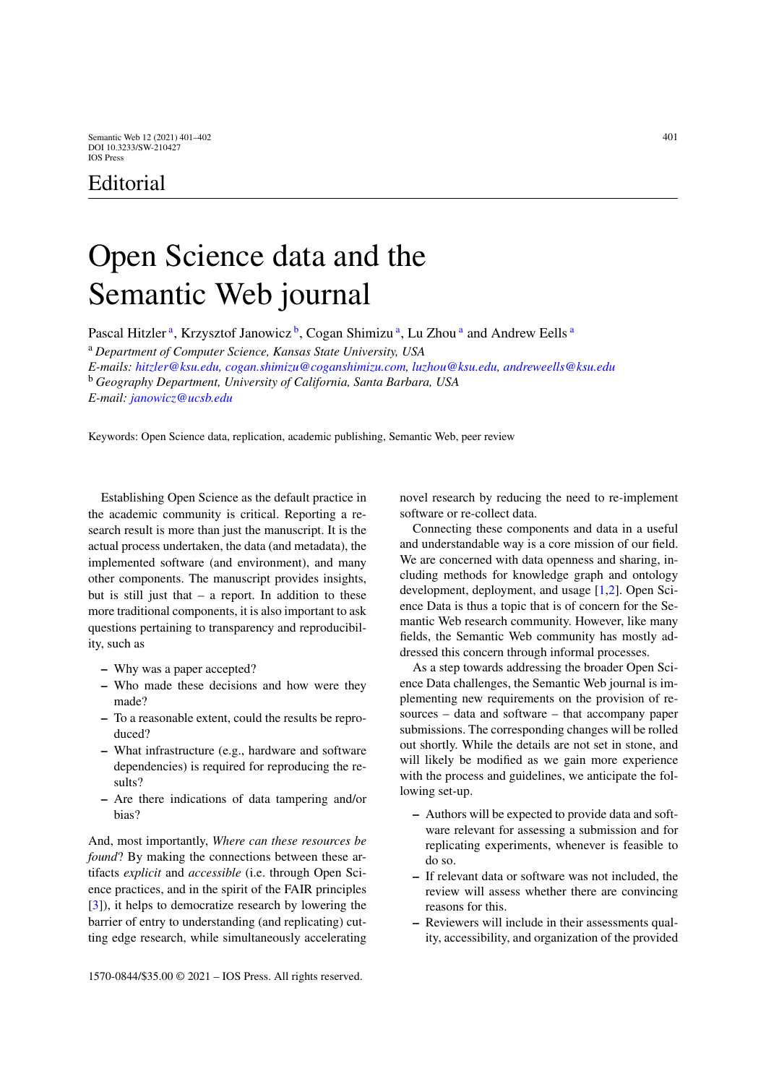## Editorial

## Open Science data and the Semantic Web journal

P[a](#page-0-0)scal Hitzler<sup>a</sup>, Krzysztof Janowicz<sup>b</sup>, Cogan Shimizu<sup>a</sup>, Lu Zhou<sup>a</sup> and Andrew Eells<sup>a</sup>

<sup>a</sup> *Department of Computer Science, Kansas State University, USA*

<span id="page-0-1"></span>*E-mails: [hitzler@ksu.edu,](mailto:hitzler@ksu.edu) [cogan.shimizu@coganshimizu.com,](mailto:cogan.shimizu@coganshimizu.com) [luzhou@ksu.edu,](mailto:luzhou@ksu.edu) [andreweells@ksu.edu](mailto:andreweells@ksu.edu)* <sup>b</sup> *Geography Department, University of California, Santa Barbara, USA E-mail: [janowicz@ucsb.edu](mailto:janowicz@ucsb.edu)*

Keywords: Open Science data, replication, academic publishing, Semantic Web, peer review

Establishing Open Science as the default practice in the academic community is critical. Reporting a research result is more than just the manuscript. It is the actual process undertaken, the data (and metadata), the implemented software (and environment), and many other components. The manuscript provides insights, but is still just that  $-$  a report. In addition to these more traditional components, it is also important to ask questions pertaining to transparency and reproducibility, such as

- **–** Why was a paper accepted?
- **–** Who made these decisions and how were they made?
- **–** To a reasonable extent, could the results be reproduced?
- **–** What infrastructure (e.g., hardware and software dependencies) is required for reproducing the results?
- **–** Are there indications of data tampering and/or bias?

And, most importantly, *Where can these resources be found*? By making the connections between these artifacts *explicit* and *accessible* (i.e. through Open Science practices, and in the spirit of the FAIR principles [\[3\]](#page-1-0)), it helps to democratize research by lowering the barrier of entry to understanding (and replicating) cutting edge research, while simultaneously accelerating

1570-0844/\$35.00 © 2021 – IOS Press. All rights reserved.

<span id="page-0-0"></span>novel research by reducing the need to re-implement software or re-collect data.

Connecting these components and data in a useful and understandable way is a core mission of our field. We are concerned with data openness and sharing, including methods for knowledge graph and ontology development, deployment, and usage [\[1](#page-1-1)[,2\]](#page-1-2). Open Science Data is thus a topic that is of concern for the Semantic Web research community. However, like many fields, the Semantic Web community has mostly addressed this concern through informal processes.

As a step towards addressing the broader Open Science Data challenges, the Semantic Web journal is implementing new requirements on the provision of resources – data and software – that accompany paper submissions. The corresponding changes will be rolled out shortly. While the details are not set in stone, and will likely be modified as we gain more experience with the process and guidelines, we anticipate the following set-up.

- **–** Authors will be expected to provide data and software relevant for assessing a submission and for replicating experiments, whenever is feasible to do so.
- **–** If relevant data or software was not included, the review will assess whether there are convincing reasons for this.
- **–** Reviewers will include in their assessments quality, accessibility, and organization of the provided